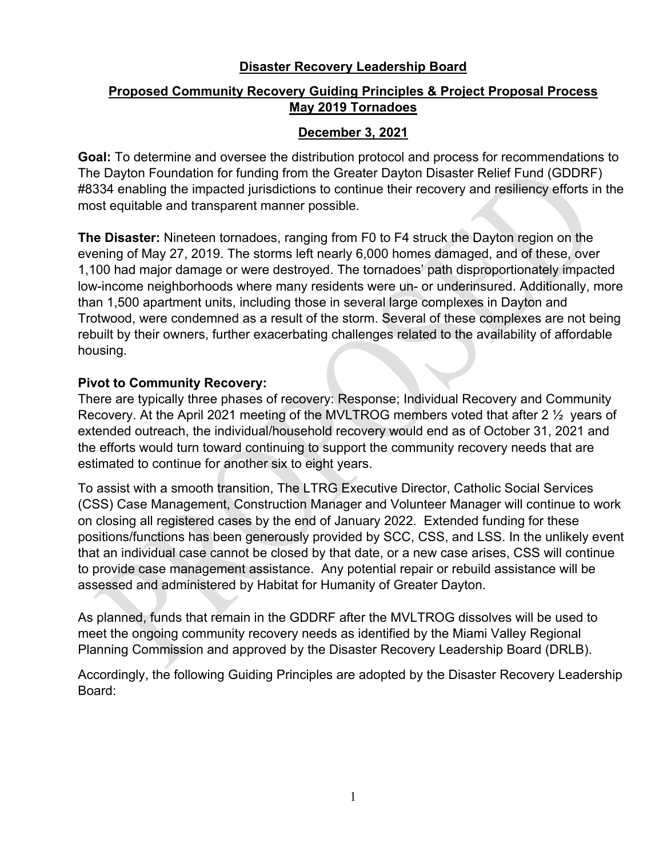## **Disaster Recovery Leadership Board**

# **Proposed Community Recovery Guiding Principles & Project Proposal Process May 2019 Tornadoes**

# **December 3, 2021**

**Goal:** To determine and oversee the distribution protocol and process for recommendations to The Dayton Foundation for funding from the Greater Dayton Disaster Relief Fund (GDDRF) #8334 enabling the impacted jurisdictions to continue their recovery and resiliency efforts in the most equitable and transparent manner possible.

**The Disaster:** Nineteen tornadoes, ranging from F0 to F4 struck the Dayton region on the evening of May 27, 2019. The storms left nearly 6,000 homes damaged, and of these, over 1,100 had major damage or were destroyed. The tornadoes' path disproportionately impacted low-income neighborhoods where many residents were un- or underinsured. Additionally, more than 1,500 apartment units, including those in several large complexes in Dayton and Trotwood, were condemned as a result of the storm. Several of these complexes are not being rebuilt by their owners, further exacerbating challenges related to the availability of affordable housing.

# **Pivot to Community Recovery:**

There are typically three phases of recovery: Response; Individual Recovery and Community Recovery. At the April 2021 meeting of the MVLTROG members voted that after 2 ½ years of extended outreach, the individual/household recovery would end as of October 31, 2021 and the efforts would turn toward continuing to support the community recovery needs that are estimated to continue for another six to eight years.

To assist with a smooth transition, The LTRG Executive Director, Catholic Social Services (CSS) Case Management, Construction Manager and Volunteer Manager will continue to work on closing all registered cases by the end of January 2022. Extended funding for these positions/functions has been generously provided by SCC, CSS, and LSS. In the unlikely event that an individual case cannot be closed by that date, or a new case arises, CSS will continue to provide case management assistance. Any potential repair or rebuild assistance will be assessed and administered by Habitat for Humanity of Greater Dayton.

As planned, funds that remain in the GDDRF after the MVLTROG dissolves will be used to meet the ongoing community recovery needs as identified by the Miami Valley Regional Planning Commission and approved by the Disaster Recovery Leadership Board (DRLB).

Accordingly, the following Guiding Principles are adopted by the Disaster Recovery Leadership Board: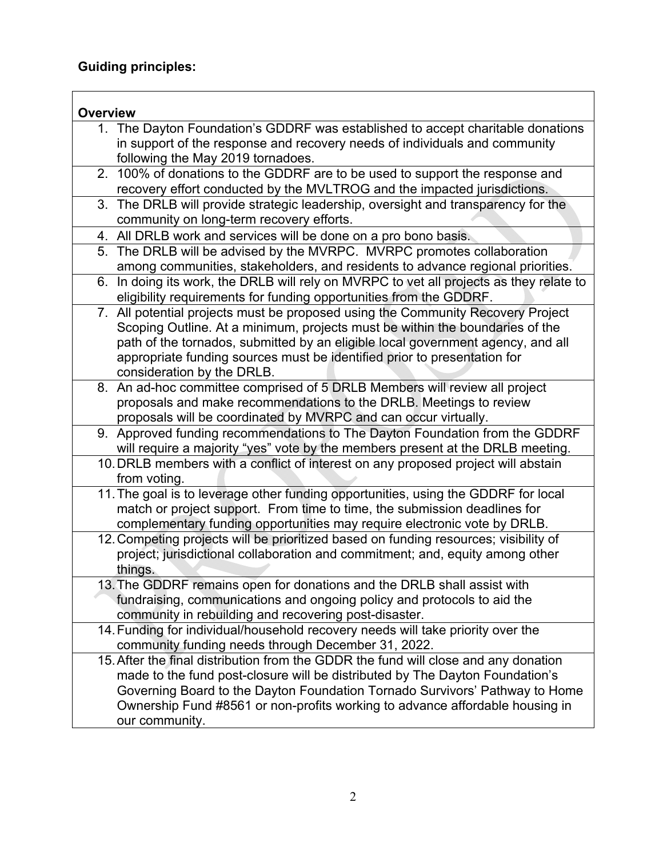# **Guiding principles:**

| <b>Overview</b>                                                                         |  |  |  |
|-----------------------------------------------------------------------------------------|--|--|--|
| 1. The Dayton Foundation's GDDRF was established to accept charitable donations         |  |  |  |
| in support of the response and recovery needs of individuals and community              |  |  |  |
| following the May 2019 tornadoes.                                                       |  |  |  |
| 2. 100% of donations to the GDDRF are to be used to support the response and            |  |  |  |
| recovery effort conducted by the MVLTROG and the impacted jurisdictions.                |  |  |  |
| 3. The DRLB will provide strategic leadership, oversight and transparency for the       |  |  |  |
| community on long-term recovery efforts.                                                |  |  |  |
| 4. All DRLB work and services will be done on a pro bono basis.                         |  |  |  |
| 5. The DRLB will be advised by the MVRPC. MVRPC promotes collaboration                  |  |  |  |
| among communities, stakeholders, and residents to advance regional priorities.          |  |  |  |
| 6. In doing its work, the DRLB will rely on MVRPC to vet all projects as they relate to |  |  |  |
| eligibility requirements for funding opportunities from the GDDRF.                      |  |  |  |
| 7. All potential projects must be proposed using the Community Recovery Project         |  |  |  |
| Scoping Outline. At a minimum, projects must be within the boundaries of the            |  |  |  |
| path of the tornados, submitted by an eligible local government agency, and all         |  |  |  |
| appropriate funding sources must be identified prior to presentation for                |  |  |  |
| consideration by the DRLB.                                                              |  |  |  |
| 8. An ad-hoc committee comprised of 5 DRLB Members will review all project              |  |  |  |
| proposals and make recommendations to the DRLB. Meetings to review                      |  |  |  |
| proposals will be coordinated by MVRPC and can occur virtually.                         |  |  |  |
| 9. Approved funding recommendations to The Dayton Foundation from the GDDRF             |  |  |  |
| will require a majority "yes" vote by the members present at the DRLB meeting.          |  |  |  |
| 10. DRLB members with a conflict of interest on any proposed project will abstain       |  |  |  |
| from voting.                                                                            |  |  |  |
| 11. The goal is to leverage other funding opportunities, using the GDDRF for local      |  |  |  |
| match or project support. From time to time, the submission deadlines for               |  |  |  |
| complementary funding opportunities may require electronic vote by DRLB.                |  |  |  |
| 12. Competing projects will be prioritized based on funding resources; visibility of    |  |  |  |
| project; jurisdictional collaboration and commitment; and, equity among other           |  |  |  |
| things.                                                                                 |  |  |  |
| 13. The GDDRF remains open for donations and the DRLB shall assist with                 |  |  |  |
| fundraising, communications and ongoing policy and protocols to aid the                 |  |  |  |
| community in rebuilding and recovering post-disaster.                                   |  |  |  |
| 14. Funding for individual/household recovery needs will take priority over the         |  |  |  |
| community funding needs through December 31, 2022.                                      |  |  |  |
| 15. After the final distribution from the GDDR the fund will close and any donation     |  |  |  |
| made to the fund post-closure will be distributed by The Dayton Foundation's            |  |  |  |
| Governing Board to the Dayton Foundation Tornado Survivors' Pathway to Home             |  |  |  |
| Ownership Fund #8561 or non-profits working to advance affordable housing in            |  |  |  |
| our community.                                                                          |  |  |  |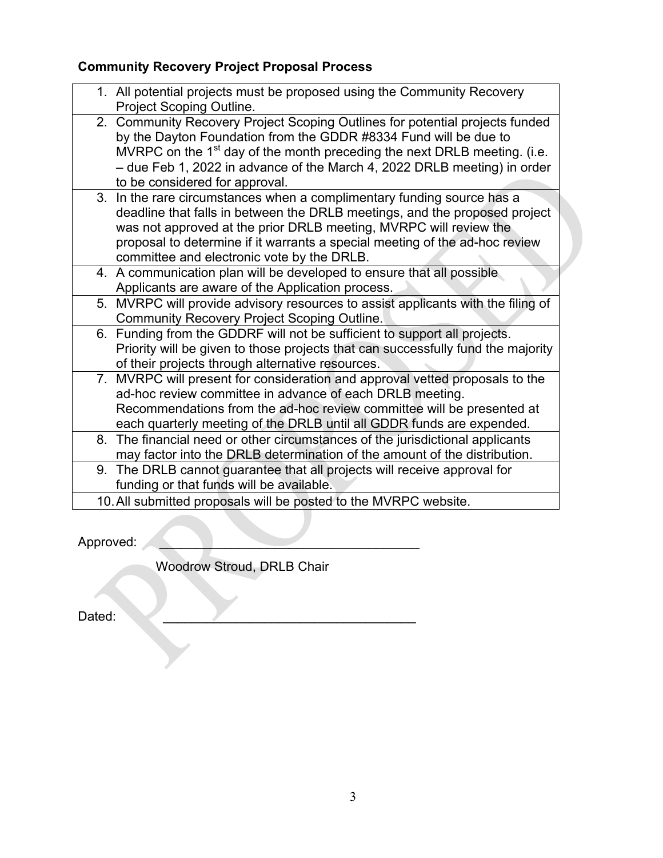# **Community Recovery Project Proposal Process**

| 1. All potential projects must be proposed using the Community Recovery<br>Project Scoping Outline.                                                                                                                                                                                                                                                    |
|--------------------------------------------------------------------------------------------------------------------------------------------------------------------------------------------------------------------------------------------------------------------------------------------------------------------------------------------------------|
| 2. Community Recovery Project Scoping Outlines for potential projects funded<br>by the Dayton Foundation from the GDDR #8334 Fund will be due to<br>MVRPC on the 1 <sup>st</sup> day of the month preceding the next DRLB meeting. (i.e.<br>- due Feb 1, 2022 in advance of the March 4, 2022 DRLB meeting) in order<br>to be considered for approval. |
| 3. In the rare circumstances when a complimentary funding source has a<br>deadline that falls in between the DRLB meetings, and the proposed project<br>was not approved at the prior DRLB meeting, MVRPC will review the<br>proposal to determine if it warrants a special meeting of the ad-hoc review<br>committee and electronic vote by the DRLB. |
| 4. A communication plan will be developed to ensure that all possible<br>Applicants are aware of the Application process.                                                                                                                                                                                                                              |
| 5. MVRPC will provide advisory resources to assist applicants with the filing of<br><b>Community Recovery Project Scoping Outline.</b>                                                                                                                                                                                                                 |
| 6. Funding from the GDDRF will not be sufficient to support all projects.<br>Priority will be given to those projects that can successfully fund the majority<br>of their projects through alternative resources.                                                                                                                                      |
| 7. MVRPC will present for consideration and approval vetted proposals to the<br>ad-hoc review committee in advance of each DRLB meeting.<br>Recommendations from the ad-hoc review committee will be presented at<br>each quarterly meeting of the DRLB until all GDDR funds are expended.                                                             |
| 8. The financial need or other circumstances of the jurisdictional applicants<br>may factor into the DRLB determination of the amount of the distribution.                                                                                                                                                                                             |
| 9. The DRLB cannot guarantee that all projects will receive approval for<br>funding or that funds will be available.                                                                                                                                                                                                                                   |
| 10. All submitted proposals will be posted to the MVRPC website.                                                                                                                                                                                                                                                                                       |

Approved:

Woodrow Stroud, DRLB Chair

Dated: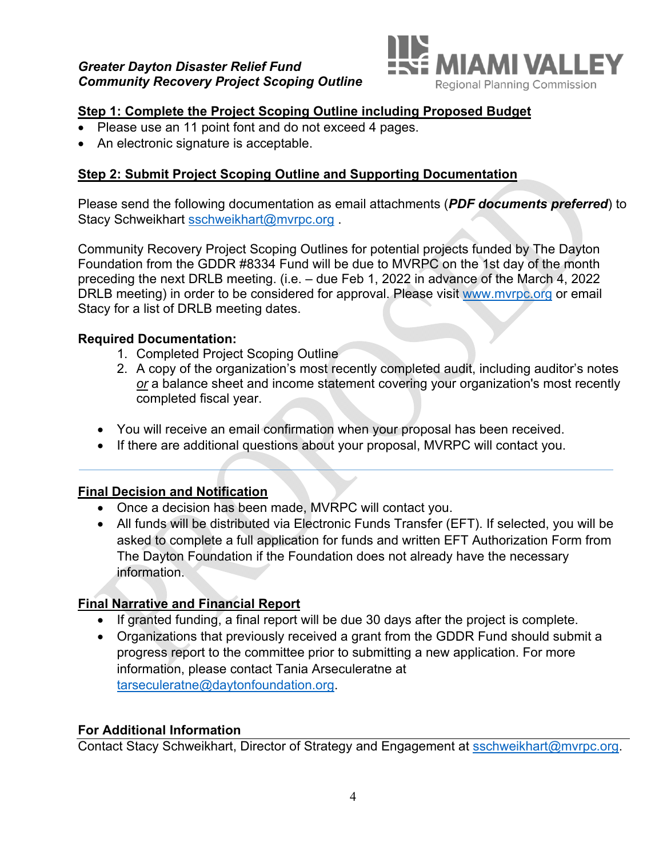

# **Step 1: Complete the Project Scoping Outline including Proposed Budget**

- Please use an 11 point font and do not exceed 4 pages.
- An electronic signature is acceptable.

## **Step 2: Submit Project Scoping Outline and Supporting Documentation**

Please send the following documentation as email attachments (*PDF documents preferred*) to Stacy Schweikhart sschweikhart@mvrpc.org .

Community Recovery Project Scoping Outlines for potential projects funded by The Dayton Foundation from the GDDR #8334 Fund will be due to MVRPC on the 1st day of the month preceding the next DRLB meeting. (i.e. – due Feb 1, 2022 in advance of the March 4, 2022 DRLB meeting) in order to be considered for approval. Please visit www.mvrpc.org or email Stacy for a list of DRLB meeting dates.

## **Required Documentation:**

- 1. Completed Project Scoping Outline
- 2. A copy of the organization's most recently completed audit, including auditor's notes *or* a balance sheet and income statement covering your organization's most recently completed fiscal year.
- You will receive an email confirmation when your proposal has been received.
- If there are additional questions about your proposal, MVRPC will contact you.

## **Final Decision and Notification**

- Once a decision has been made, MVRPC will contact you.
- All funds will be distributed via Electronic Funds Transfer (EFT). If selected, you will be asked to complete a full application for funds and written EFT Authorization Form from The Dayton Foundation if the Foundation does not already have the necessary information.

## **Final Narrative and Financial Report**

- If granted funding, a final report will be due 30 days after the project is complete.
- Organizations that previously received a grant from the GDDR Fund should submit a progress report to the committee prior to submitting a new application. For more information, please contact Tania Arseculeratne at tarseculeratne@daytonfoundation.org.

## **For Additional Information**

Contact Stacy Schweikhart, Director of Strategy and Engagement at sschweikhart@mvrpc.org.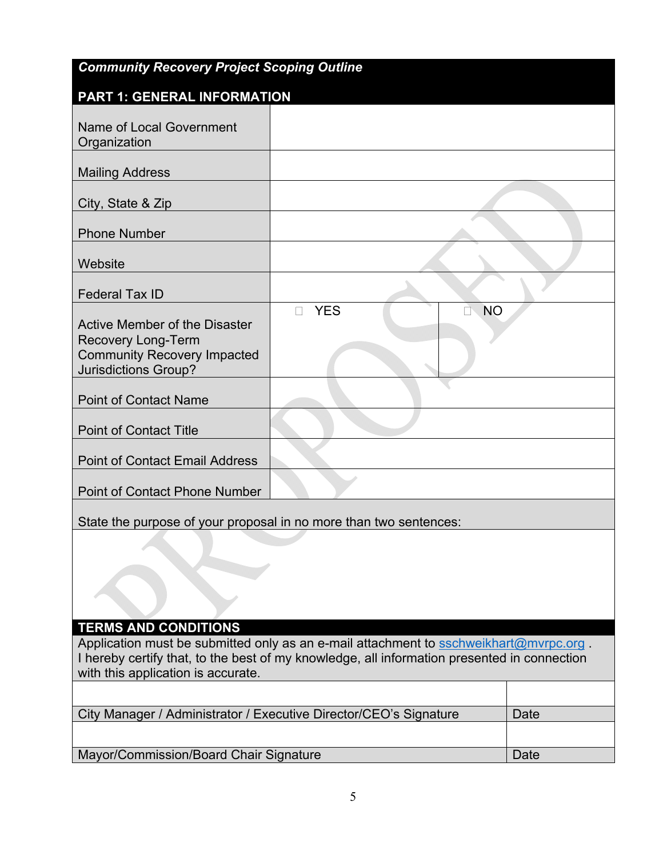| <b>Community Recovery Project Scoping Outline</b>                                                                                 |                         |      |  |  |
|-----------------------------------------------------------------------------------------------------------------------------------|-------------------------|------|--|--|
| <b>PART 1: GENERAL INFORMATION</b>                                                                                                |                         |      |  |  |
| Name of Local Government<br>Organization                                                                                          |                         |      |  |  |
| <b>Mailing Address</b>                                                                                                            |                         |      |  |  |
| City, State & Zip                                                                                                                 |                         |      |  |  |
| <b>Phone Number</b>                                                                                                               |                         |      |  |  |
| Website                                                                                                                           |                         |      |  |  |
| <b>Federal Tax ID</b>                                                                                                             |                         |      |  |  |
| Active Member of the Disaster<br><b>Recovery Long-Term</b><br><b>Community Recovery Impacted</b><br><b>Jurisdictions Group?</b>   | <b>YES</b><br><b>NO</b> |      |  |  |
| <b>Point of Contact Name</b>                                                                                                      |                         |      |  |  |
| <b>Point of Contact Title</b>                                                                                                     |                         |      |  |  |
| <b>Point of Contact Email Address</b>                                                                                             |                         |      |  |  |
| <b>Point of Contact Phone Number</b>                                                                                              |                         |      |  |  |
| State the purpose of your proposal in no more than two sentences:                                                                 |                         |      |  |  |
|                                                                                                                                   |                         |      |  |  |
| <b>TERMS AND CONDITIONS</b><br>Application must be submitted only as an e-mail attachment to sschweikhart@mvrpc.org.              |                         |      |  |  |
| I hereby certify that, to the best of my knowledge, all information presented in connection<br>with this application is accurate. |                         |      |  |  |
|                                                                                                                                   |                         |      |  |  |
| City Manager / Administrator / Executive Director/CEO's Signature                                                                 |                         | Date |  |  |
| Mayor/Commission/Board Chair Signature                                                                                            |                         | Date |  |  |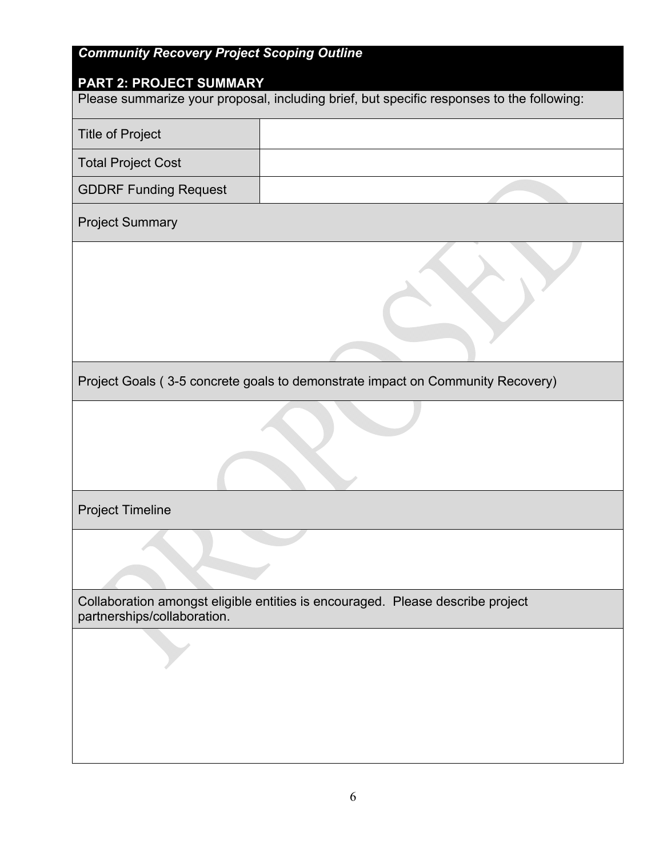# *Community Recovery Project Scoping Outline*

## **PART 2: PROJECT SUMMARY**

| <u>PARTZ: PROJECT SUMMARY</u><br>Please summarize your proposal, including brief, but specific responses to the following: |  |  |  |  |  |
|----------------------------------------------------------------------------------------------------------------------------|--|--|--|--|--|
| <b>Title of Project</b>                                                                                                    |  |  |  |  |  |
| <b>Total Project Cost</b>                                                                                                  |  |  |  |  |  |
| <b>GDDRF Funding Request</b>                                                                                               |  |  |  |  |  |
| <b>Project Summary</b>                                                                                                     |  |  |  |  |  |
|                                                                                                                            |  |  |  |  |  |
| Project Goals (3-5 concrete goals to demonstrate impact on Community Recovery)                                             |  |  |  |  |  |
|                                                                                                                            |  |  |  |  |  |
|                                                                                                                            |  |  |  |  |  |
| <b>Project Timeline</b>                                                                                                    |  |  |  |  |  |
|                                                                                                                            |  |  |  |  |  |
| Collaboration amongst eligible entities is encouraged. Please describe project<br>partnerships/collaboration.              |  |  |  |  |  |
|                                                                                                                            |  |  |  |  |  |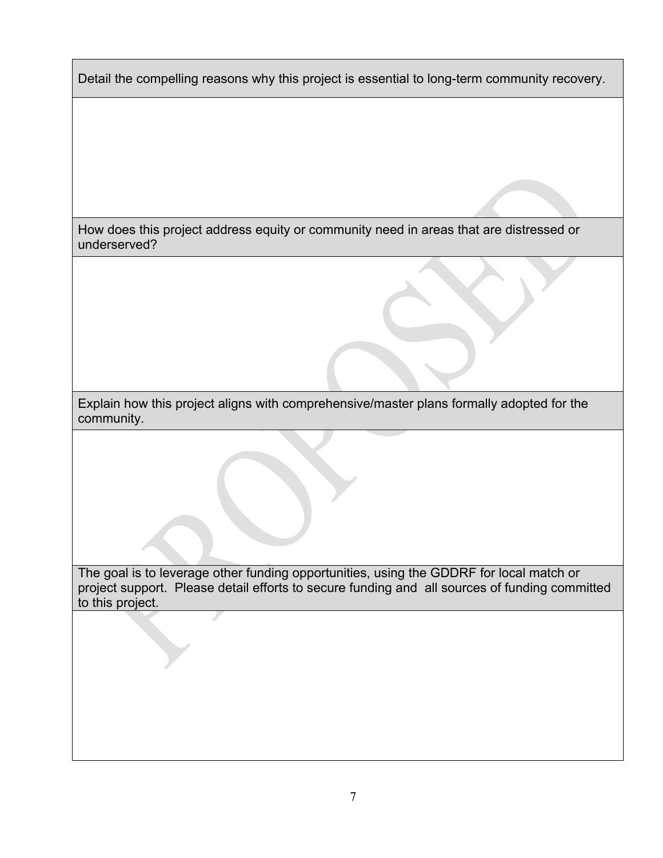Detail the compelling reasons why this project is essential to long-term community recovery.

How does this project address equity or community need in areas that are distressed or underserved?

Explain how this project aligns with comprehensive/master plans formally adopted for the community.

The goal is to leverage other funding opportunities, using the GDDRF for local match or project support. Please detail efforts to secure funding and all sources of funding committed to this project.